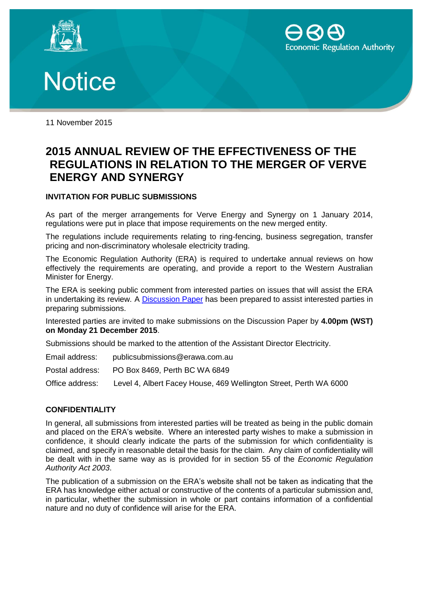





11 November 2015

## **2015 ANNUAL REVIEW OF THE EFFECTIVENESS OF THE REGULATIONS IN RELATION TO THE MERGER OF VERVE ENERGY AND SYNERGY**

## **INVITATION FOR PUBLIC SUBMISSIONS**

As part of the merger arrangements for Verve Energy and Synergy on 1 January 2014, regulations were put in place that impose requirements on the new merged entity.

The regulations include requirements relating to ring-fencing, business segregation, transfer pricing and non-discriminatory wholesale electricity trading.

The Economic Regulation Authority (ERA) is required to undertake annual reviews on how effectively the requirements are operating, and provide a report to the Western Australian Minister for Energy.

The ERA is seeking public comment from interested parties on issues that will assist the ERA in undertaking its review. A [Discussion Paper](https://www.erawa.com.au/electricity/wholesale-electricity-market/reviews/the-electricity-generation-and-retail-corporation-egrc-regulatory-scheme) has been prepared to assist interested parties in preparing submissions.

Interested parties are invited to make submissions on the Discussion Paper by **4.00pm (WST) on Monday 21 December 2015**.

Submissions should be marked to the attention of the Assistant Director Electricity.

- Email address: publicsubmissions@erawa.com.au
- Postal address: PO Box 8469, Perth BC WA 6849

Office address: Level 4, Albert Facey House, 469 Wellington Street, Perth WA 6000

## **CONFIDENTIALITY**

In general, all submissions from interested parties will be treated as being in the public domain and placed on the ERA's website. Where an interested party wishes to make a submission in confidence, it should clearly indicate the parts of the submission for which confidentiality is claimed, and specify in reasonable detail the basis for the claim. Any claim of confidentiality will be dealt with in the same way as is provided for in section 55 of the *Economic Regulation Authority Act 2003*.

The publication of a submission on the ERA's website shall not be taken as indicating that the ERA has knowledge either actual or constructive of the contents of a particular submission and, in particular, whether the submission in whole or part contains information of a confidential nature and no duty of confidence will arise for the ERA.